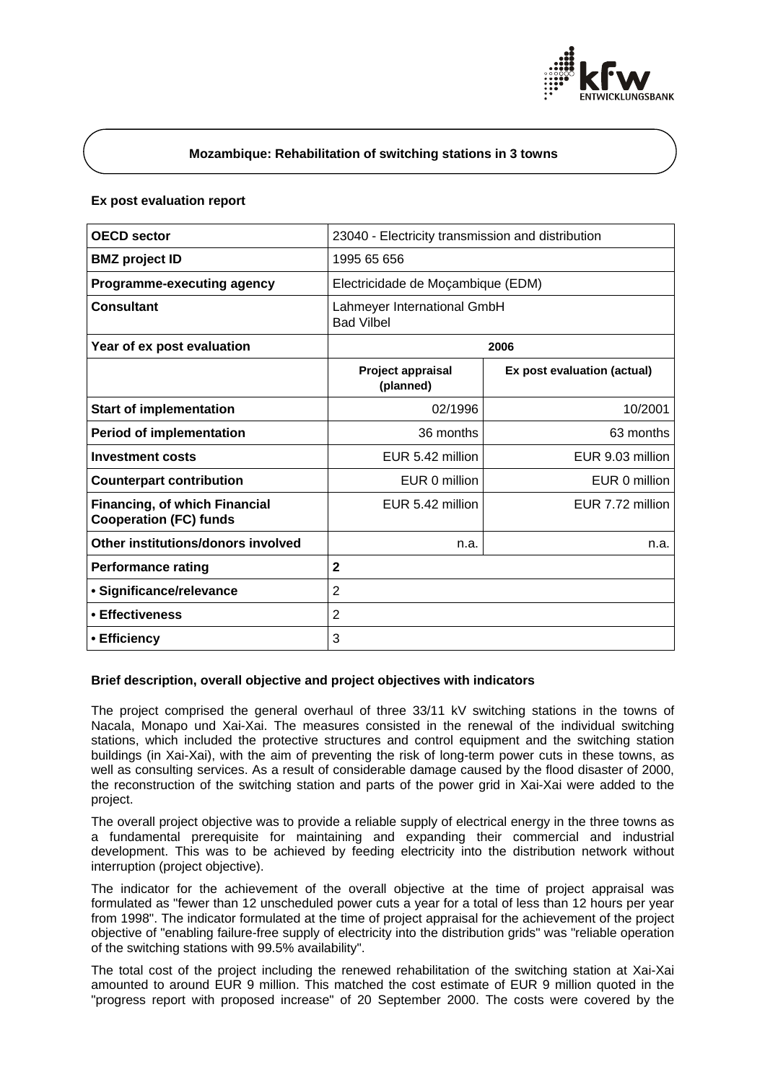

# **Mozambique: Rehabilitation of switching stations in 3 towns**

### **Ex post evaluation report**

| <b>OECD</b> sector                                                    | 23040 - Electricity transmission and distribution |                             |
|-----------------------------------------------------------------------|---------------------------------------------------|-----------------------------|
| <b>BMZ</b> project ID                                                 | 1995 65 656                                       |                             |
| <b>Programme-executing agency</b>                                     | Electricidade de Moçambique (EDM)                 |                             |
| <b>Consultant</b>                                                     | Lahmeyer International GmbH<br><b>Bad Vilbel</b>  |                             |
| Year of ex post evaluation                                            | 2006                                              |                             |
|                                                                       | <b>Project appraisal</b><br>(planned)             | Ex post evaluation (actual) |
| <b>Start of implementation</b>                                        | 02/1996                                           | 10/2001                     |
| <b>Period of implementation</b>                                       | 36 months                                         | 63 months                   |
| <b>Investment costs</b>                                               | EUR 5.42 million                                  | EUR 9.03 million            |
| <b>Counterpart contribution</b>                                       | EUR 0 million                                     | EUR 0 million               |
| <b>Financing, of which Financial</b><br><b>Cooperation (FC) funds</b> | $EUR 5.42$ million                                | EUR 7.72 million            |
| Other institutions/donors involved                                    | n.a.                                              | n.a.                        |
| <b>Performance rating</b>                                             | $\mathbf{2}$                                      |                             |
| • Significance/relevance                                              | $\overline{2}$                                    |                             |
| • Effectiveness                                                       | $\overline{2}$                                    |                             |
| • Efficiency                                                          | 3                                                 |                             |

#### **Brief description, overall objective and project objectives with indicators**

The project comprised the general overhaul of three 33/11 kV switching stations in the towns of Nacala, Monapo und Xai-Xai. The measures consisted in the renewal of the individual switching stations, which included the protective structures and control equipment and the switching station buildings (in Xai-Xai), with the aim of preventing the risk of long-term power cuts in these towns, as well as consulting services. As a result of considerable damage caused by the flood disaster of 2000, the reconstruction of the switching station and parts of the power grid in Xai-Xai were added to the project.

The overall project objective was to provide a reliable supply of electrical energy in the three towns as a fundamental prerequisite for maintaining and expanding their commercial and industrial development. This was to be achieved by feeding electricity into the distribution network without interruption (project objective).

The indicator for the achievement of the overall objective at the time of project appraisal was formulated as "fewer than 12 unscheduled power cuts a year for a total of less than 12 hours per year from 1998". The indicator formulated at the time of project appraisal for the achievement of the project objective of "enabling failure-free supply of electricity into the distribution grids" was "reliable operation of the switching stations with 99.5% availability".

The total cost of the project including the renewed rehabilitation of the switching station at Xai-Xai amounted to around EUR 9 million. This matched the cost estimate of EUR 9 million quoted in the "progress report with proposed increase" of 20 September 2000. The costs were covered by the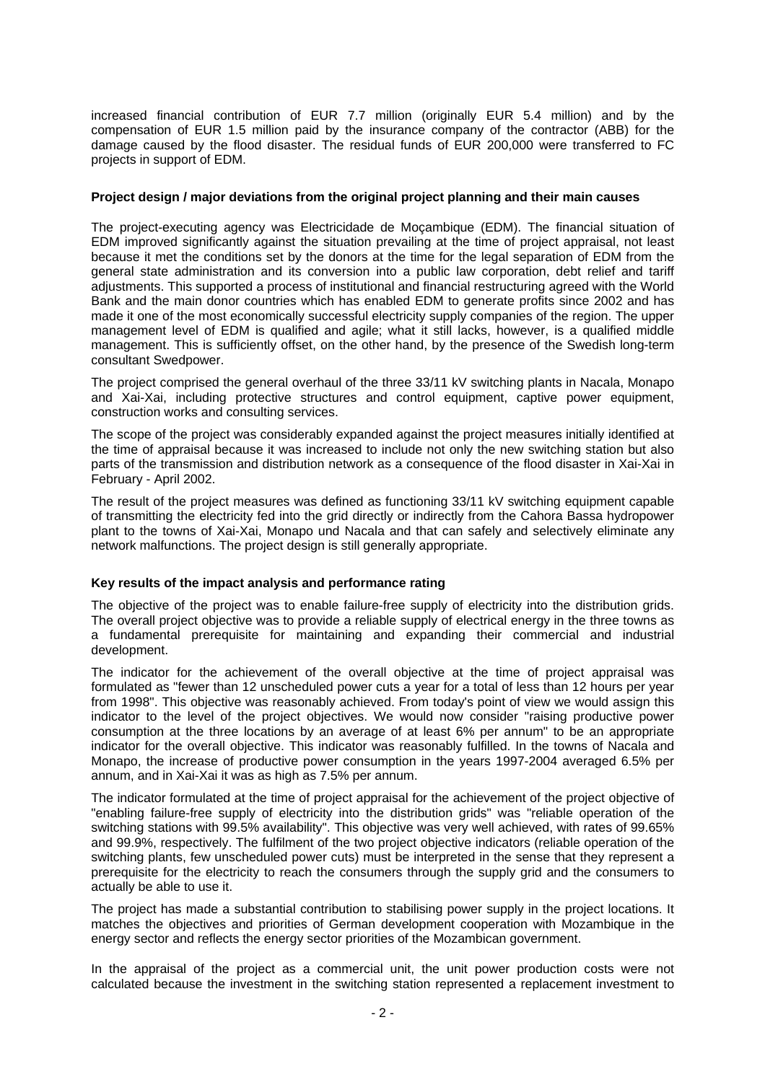increased financial contribution of EUR 7.7 million (originally EUR 5.4 million) and by the compensation of EUR 1.5 million paid by the insurance company of the contractor (ABB) for the damage caused by the flood disaster. The residual funds of EUR 200,000 were transferred to FC projects in support of EDM.

#### **Project design / major deviations from the original project planning and their main causes**

The project-executing agency was Electricidade de Moçambique (EDM). The financial situation of EDM improved significantly against the situation prevailing at the time of project appraisal, not least because it met the conditions set by the donors at the time for the legal separation of EDM from the general state administration and its conversion into a public law corporation, debt relief and tariff adjustments. This supported a process of institutional and financial restructuring agreed with the World Bank and the main donor countries which has enabled EDM to generate profits since 2002 and has made it one of the most economically successful electricity supply companies of the region. The upper management level of EDM is qualified and agile; what it still lacks, however, is a qualified middle management. This is sufficiently offset, on the other hand, by the presence of the Swedish long-term consultant Swedpower.

The project comprised the general overhaul of the three 33/11 kV switching plants in Nacala, Monapo and Xai-Xai, including protective structures and control equipment, captive power equipment, construction works and consulting services.

The scope of the project was considerably expanded against the project measures initially identified at the time of appraisal because it was increased to include not only the new switching station but also parts of the transmission and distribution network as a consequence of the flood disaster in Xai-Xai in February - April 2002.

The result of the project measures was defined as functioning 33/11 kV switching equipment capable of transmitting the electricity fed into the grid directly or indirectly from the Cahora Bassa hydropower plant to the towns of Xai-Xai, Monapo und Nacala and that can safely and selectively eliminate any network malfunctions. The project design is still generally appropriate.

## **Key results of the impact analysis and performance rating**

The objective of the project was to enable failure-free supply of electricity into the distribution grids. The overall project objective was to provide a reliable supply of electrical energy in the three towns as a fundamental prerequisite for maintaining and expanding their commercial and industrial development.

The indicator for the achievement of the overall objective at the time of project appraisal was formulated as "fewer than 12 unscheduled power cuts a year for a total of less than 12 hours per year from 1998". This objective was reasonably achieved. From today's point of view we would assign this indicator to the level of the project objectives. We would now consider "raising productive power consumption at the three locations by an average of at least 6% per annum" to be an appropriate indicator for the overall objective. This indicator was reasonably fulfilled. In the towns of Nacala and Monapo, the increase of productive power consumption in the years 1997-2004 averaged 6.5% per annum, and in Xai-Xai it was as high as 7.5% per annum.

The indicator formulated at the time of project appraisal for the achievement of the project objective of "enabling failure-free supply of electricity into the distribution grids" was "reliable operation of the switching stations with 99.5% availability". This objective was very well achieved, with rates of 99.65% and 99.9%, respectively. The fulfilment of the two project objective indicators (reliable operation of the switching plants, few unscheduled power cuts) must be interpreted in the sense that they represent a prerequisite for the electricity to reach the consumers through the supply grid and the consumers to actually be able to use it.

The project has made a substantial contribution to stabilising power supply in the project locations. It matches the objectives and priorities of German development cooperation with Mozambique in the energy sector and reflects the energy sector priorities of the Mozambican government.

In the appraisal of the project as a commercial unit, the unit power production costs were not calculated because the investment in the switching station represented a replacement investment to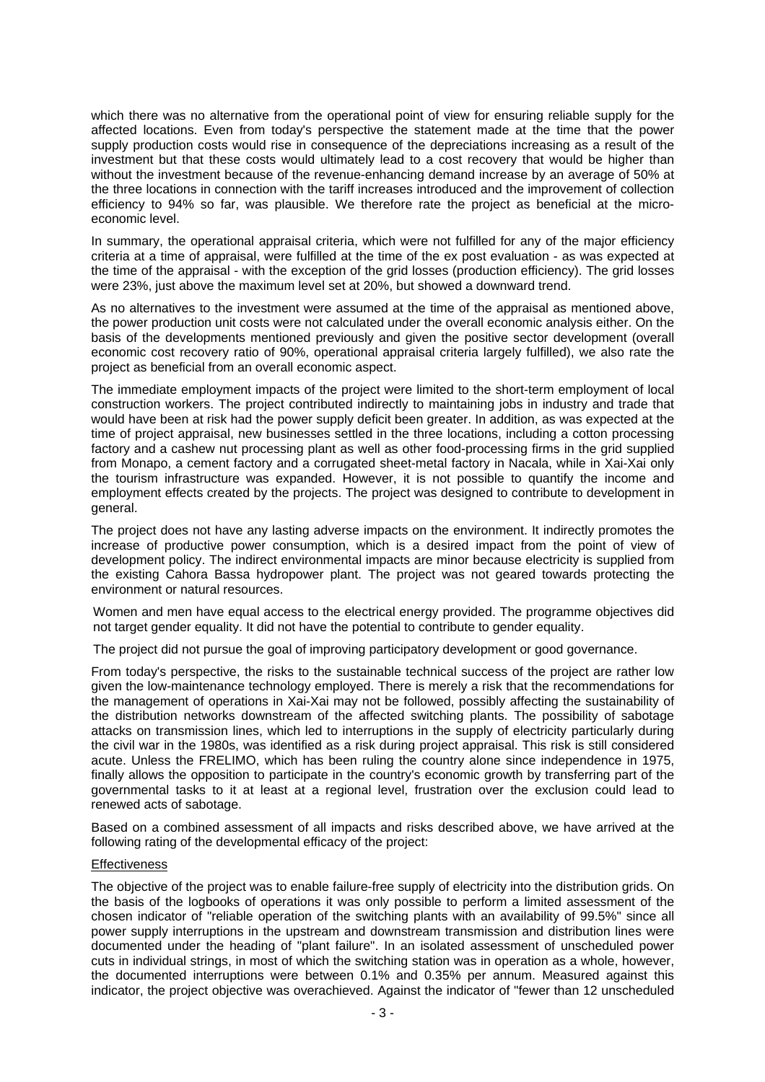which there was no alternative from the operational point of view for ensuring reliable supply for the affected locations. Even from today's perspective the statement made at the time that the power supply production costs would rise in consequence of the depreciations increasing as a result of the investment but that these costs would ultimately lead to a cost recovery that would be higher than without the investment because of the revenue-enhancing demand increase by an average of 50% at the three locations in connection with the tariff increases introduced and the improvement of collection efficiency to 94% so far, was plausible. We therefore rate the project as beneficial at the microeconomic level.

In summary, the operational appraisal criteria, which were not fulfilled for any of the major efficiency criteria at a time of appraisal, were fulfilled at the time of the ex post evaluation - as was expected at the time of the appraisal - with the exception of the grid losses (production efficiency). The grid losses were 23%, just above the maximum level set at 20%, but showed a downward trend.

As no alternatives to the investment were assumed at the time of the appraisal as mentioned above, the power production unit costs were not calculated under the overall economic analysis either. On the basis of the developments mentioned previously and given the positive sector development (overall economic cost recovery ratio of 90%, operational appraisal criteria largely fulfilled), we also rate the project as beneficial from an overall economic aspect.

The immediate employment impacts of the project were limited to the short-term employment of local construction workers. The project contributed indirectly to maintaining jobs in industry and trade that would have been at risk had the power supply deficit been greater. In addition, as was expected at the time of project appraisal, new businesses settled in the three locations, including a cotton processing factory and a cashew nut processing plant as well as other food-processing firms in the grid supplied from Monapo, a cement factory and a corrugated sheet-metal factory in Nacala, while in Xai-Xai only the tourism infrastructure was expanded. However, it is not possible to quantify the income and employment effects created by the projects. The project was designed to contribute to development in general.

The project does not have any lasting adverse impacts on the environment. It indirectly promotes the increase of productive power consumption, which is a desired impact from the point of view of development policy. The indirect environmental impacts are minor because electricity is supplied from the existing Cahora Bassa hydropower plant. The project was not geared towards protecting the environment or natural resources.

Women and men have equal access to the electrical energy provided. The programme objectives did not target gender equality. It did not have the potential to contribute to gender equality.

The project did not pursue the goal of improving participatory development or good governance.

From today's perspective, the risks to the sustainable technical success of the project are rather low given the low-maintenance technology employed. There is merely a risk that the recommendations for the management of operations in Xai-Xai may not be followed, possibly affecting the sustainability of the distribution networks downstream of the affected switching plants. The possibility of sabotage attacks on transmission lines, which led to interruptions in the supply of electricity particularly during the civil war in the 1980s, was identified as a risk during project appraisal. This risk is still considered acute. Unless the FRELIMO, which has been ruling the country alone since independence in 1975, finally allows the opposition to participate in the country's economic growth by transferring part of the governmental tasks to it at least at a regional level, frustration over the exclusion could lead to renewed acts of sabotage.

Based on a combined assessment of all impacts and risks described above, we have arrived at the following rating of the developmental efficacy of the project:

#### **Effectiveness**

The objective of the project was to enable failure-free supply of electricity into the distribution grids. On the basis of the logbooks of operations it was only possible to perform a limited assessment of the chosen indicator of "reliable operation of the switching plants with an availability of 99.5%" since all power supply interruptions in the upstream and downstream transmission and distribution lines were documented under the heading of "plant failure". In an isolated assessment of unscheduled power cuts in individual strings, in most of which the switching station was in operation as a whole, however, the documented interruptions were between 0.1% and 0.35% per annum. Measured against this indicator, the project objective was overachieved. Against the indicator of "fewer than 12 unscheduled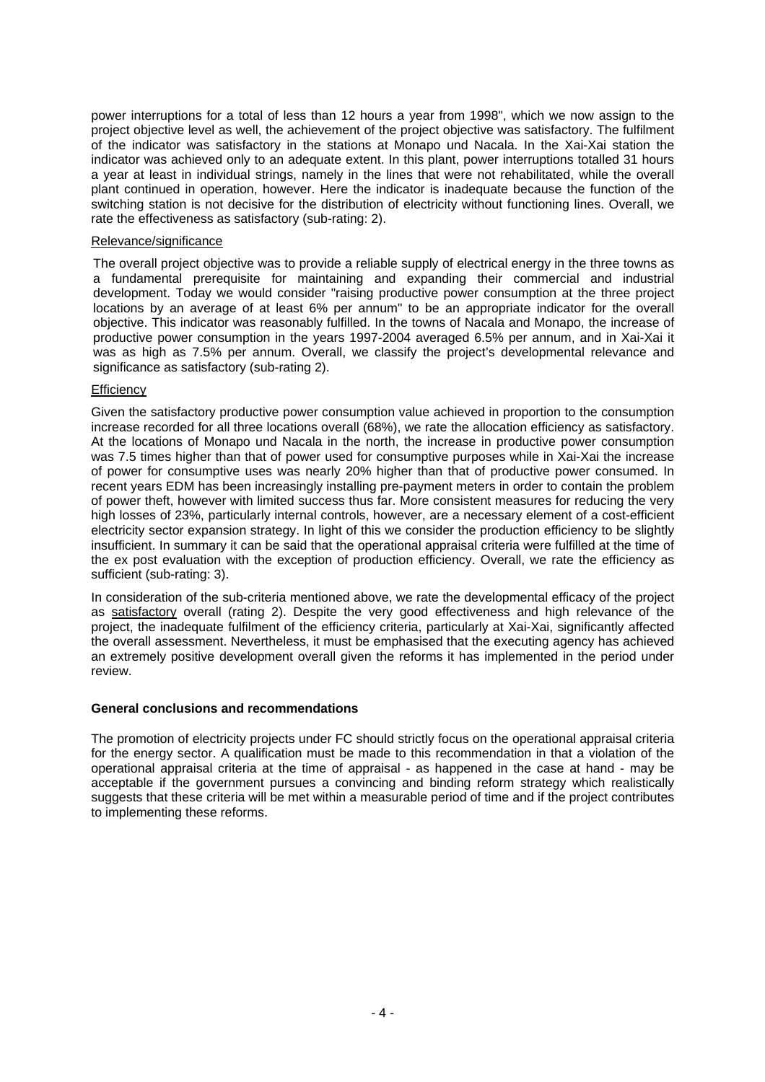power interruptions for a total of less than 12 hours a year from 1998", which we now assign to the project objective level as well, the achievement of the project objective was satisfactory. The fulfilment of the indicator was satisfactory in the stations at Monapo und Nacala. In the Xai-Xai station the indicator was achieved only to an adequate extent. In this plant, power interruptions totalled 31 hours a year at least in individual strings, namely in the lines that were not rehabilitated, while the overall plant continued in operation, however. Here the indicator is inadequate because the function of the switching station is not decisive for the distribution of electricity without functioning lines. Overall, we rate the effectiveness as satisfactory (sub-rating: 2).

### Relevance/significance

The overall project objective was to provide a reliable supply of electrical energy in the three towns as a fundamental prerequisite for maintaining and expanding their commercial and industrial development. Today we would consider "raising productive power consumption at the three project locations by an average of at least 6% per annum" to be an appropriate indicator for the overall objective. This indicator was reasonably fulfilled. In the towns of Nacala and Monapo, the increase of productive power consumption in the years 1997-2004 averaged 6.5% per annum, and in Xai-Xai it was as high as 7.5% per annum. Overall, we classify the project's developmental relevance and significance as satisfactory (sub-rating 2).

### **Efficiency**

Given the satisfactory productive power consumption value achieved in proportion to the consumption increase recorded for all three locations overall (68%), we rate the allocation efficiency as satisfactory. At the locations of Monapo und Nacala in the north, the increase in productive power consumption was 7.5 times higher than that of power used for consumptive purposes while in Xai-Xai the increase of power for consumptive uses was nearly 20% higher than that of productive power consumed. In recent years EDM has been increasingly installing pre-payment meters in order to contain the problem of power theft, however with limited success thus far. More consistent measures for reducing the very high losses of 23%, particularly internal controls, however, are a necessary element of a cost-efficient electricity sector expansion strategy. In light of this we consider the production efficiency to be slightly insufficient. In summary it can be said that the operational appraisal criteria were fulfilled at the time of the ex post evaluation with the exception of production efficiency. Overall, we rate the efficiency as sufficient (sub-rating: 3).

In consideration of the sub-criteria mentioned above, we rate the developmental efficacy of the project as satisfactory overall (rating 2). Despite the very good effectiveness and high relevance of the project, the inadequate fulfilment of the efficiency criteria, particularly at Xai-Xai, significantly affected the overall assessment. Nevertheless, it must be emphasised that the executing agency has achieved an extremely positive development overall given the reforms it has implemented in the period under review.

## **General conclusions and recommendations**

The promotion of electricity projects under FC should strictly focus on the operational appraisal criteria for the energy sector. A qualification must be made to this recommendation in that a violation of the operational appraisal criteria at the time of appraisal - as happened in the case at hand - may be acceptable if the government pursues a convincing and binding reform strategy which realistically suggests that these criteria will be met within a measurable period of time and if the project contributes to implementing these reforms.